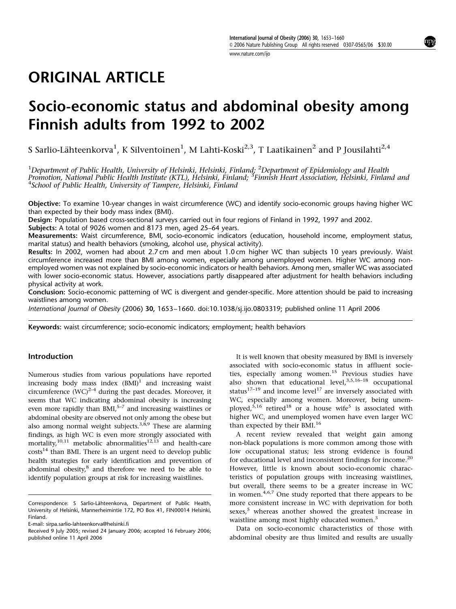# ORIGINAL ARTICLE

# Socio-economic status and abdominal obesity among Finnish adults from 1992 to 2002

S Sarlio-Lähteenkorva $^1$ , K Silventoinen $^1$ , M Lahti-Koski $^{2,3}$ , T Laatikainen $^2$  and P Jousilahti $^{2,4}$ 

 $^1$ Department of Public Health, University of Helsinki, Helsinki, Finland;  $^2$ Department of Epidemiology and Health Promotion, National Public Health Institute (KTL), Helsinki, Finland; <sup>3</sup>Finnish Heart Association, Helsinki, Finland and<br><sup>4</sup>School of Public Health, University of Tampere, Helsinki, Finland  $4$ School of Public Health, University of Tampere, Helsinki, Finland

Objective: To examine 10-year changes in waist circumference (WC) and identify socio-economic groups having higher WC than expected by their body mass index (BMI).

Design: Population based cross-sectional surveys carried out in four regions of Finland in 1992, 1997 and 2002.

Subjects: A total of 9026 women and 8173 men, aged 25–64 years.

Measurements: Waist circumference, BMI, socio-economic indicators (education, household income, employment status, marital status) and health behaviors (smoking, alcohol use, physical activity).

Results: In 2002, women had about 2.7 cm and men about 1.0 cm higher WC than subjects 10 years previously. Waist circumference increased more than BMI among women, especially among unemployed women. Higher WC among nonemployed women was not explained by socio-economic indicators or health behaviors. Among men, smaller WC was associated with lower socio-economic status. However, associations partly disappeared after adjustment for health behaviors including physical activity at work.

Conclusion: Socio-economic patterning of WC is divergent and gender-specific. More attention should be paid to increasing waistlines among women.

International Journal of Obesity (2006) 30, 1653-1660. doi:10.1038/sj.ijo.0803319; published online 11 April 2006

Keywords: waist circumference; socio-economic indicators; employment; health behaviors

# Introduction

Numerous studies from various populations have reported increasing body mass index  $(BMI)^1$  and increasing waist circumference  $(WC)^{2-4}$  during the past decades. Moreover, it seems that WC indicating abdominal obesity is increasing even more rapidly than BMI,<sup>5-7</sup> and increasing waistlines or abdominal obesity are observed not only among the obese but also among normal weight subjects.<sup>3,8,9</sup> These are alarming findings, as high WC is even more strongly associated with mortality,<sup>10,11</sup> metabolic abnormalities<sup>12,13</sup> and health-care  $costs<sup>14</sup>$  than BMI. There is an urgent need to develop public health strategies for early identification and prevention of abdominal obesity,<sup>8</sup> and therefore we need to be able to identify population groups at risk for increasing waistlines.

It is well known that obesity measured by BMI is inversely associated with socio-economic status in affluent societies, especially among women.<sup>15</sup> Previous studies have also shown that educational level,<sup>3,5,16-18</sup> occupational status $17-19$  and income level<sup>17</sup> are inversely associated with WC, especially among women. Moreover, being unemployed, $5,16$  retired<sup>18</sup> or a house wife<sup>5</sup> is associated with higher WC, and unemployed women have even larger WC than expected by their BMI.<sup>16</sup>

A recent review revealed that weight gain among non-black populations is more common among those with low occupational status; less strong evidence is found for educational level and inconsistent findings for income.<sup>20</sup> However, little is known about socio-economic characteristics of population groups with increasing waistlines, but overall, there seems to be a greater increase in WC in women.<sup>4,6,7</sup> One study reported that there appears to be more consistent increase in WC with deprivation for both sexes,<sup>5</sup> whereas another showed the greatest increase in waistline among most highly educated women.<sup>3</sup>

Data on socio-economic characteristics of those with abdominal obesity are thus limited and results are usually

Correspondence: S Sarlio-Lähteenkorva, Department of Public Health, University of Helsinki, Mannerheimintie 172, PO Box 41, FIN00014 Helsinki, Finland.

E-mail: sirpa.sarlio-lahteenkorva@helsinki.fi

Received 9 July 2005; revised 24 January 2006; accepted 16 February 2006; published online 11 April 2006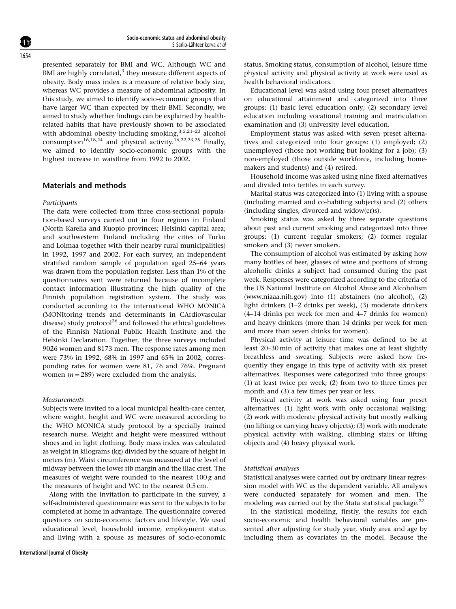presented separately for BMI and WC. Although WC and BMI are highly correlated, $3$  they measure different aspects of obesity. Body mass index is a measure of relative body size, whereas WC provides a measure of abdominal adiposity. In this study, we aimed to identify socio-economic groups that have larger WC than expected by their BMI. Secondly, we aimed to study whether findings can be explained by healthrelated habits that have previously shown to be associated with abdominal obesity including smoking,  $3,5,21-23$  alcohol consumption<sup>16,18,24</sup> and physical activity.<sup>16,22,23,25</sup> Finally, we aimed to identify socio-economic groups with the highest increase in waistline from 1992 to 2002.

# Materials and methods

#### Participants

The data were collected from three cross-sectional population-based surveys carried out in four regions in Finland (North Karelia and Kuopio provinces; Helsinki capital area; and southwestern Finland including the cities of Turku and Loimaa together with their nearby rural municipalities) in 1992, 1997 and 2002. For each survey, an independent stratified random sample of population aged 25–64 years was drawn from the population register. Less than 1% of the questionnaires sent were returned because of incomplete contact information illustrating the high quality of the Finnish population registration system. The study was conducted according to the international WHO MONICA (MONItoring trends and determinants in CArdiovascular disease) study protocol $^{26}$  and followed the ethical guidelines of the Finnish National Public Health Institute and the Helsinki Declaration. Together, the three surveys included 9026 women and 8173 men. The response rates among men were 73% in 1992, 68% in 1997 and 65% in 2002; corresponding rates for women were 81, 76 and 76%. Pregnant women ( $n = 289$ ) were excluded from the analysis.

#### Measurements

Subjects were invited to a local municipal health-care center. where weight, height and WC were measured according to the WHO MONICA study protocol by a specially trained research nurse. Weight and height were measured without shoes and in light clothing. Body mass index was calculated as weight in kilograms (kg) divided by the square of height in meters (m). Waist circumference was measured at the level of midway between the lower rib margin and the iliac crest. The measures of weight were rounded to the nearest 100 g and the measures of height and WC to the nearest 0.5 cm.

Along with the invitation to participate in the survey, a self-administered questionnaire was sent to the subjects to be completed at home in advantage. The questionnaire covered questions on socio-economic factors and lifestyle. We used educational level, household income, employment status and living with a spouse as measures of socio-economic status. Smoking status, consumption of alcohol, leisure time physical activity and physical activity at work were used as health behavioral indicators.

Educational level was asked using four preset alternatives on educational attainment and categorized into three groups: (1) basic level education only; (2) secondary level education including vocational training and matriculation examination and (3) university level education.

Employment status was asked with seven preset alternatives and categorized into four groups: (1) employed; (2) unemployed (those not working but looking for a job); (3) non-employed (those outside workforce, including homemakers and students) and (4) retired.

Household income was asked using nine fixed alternatives and divided into tertiles in each survey.

Marital status was categorized into (1) living with a spouse (including married and co-habiting subjects) and (2) others (including singles, divorced and widow(er)s).

Smoking status was asked by three separate questions about past and current smoking and categorized into three groups: (1) current regular smokers; (2) former regular smokers and (3) never smokers.

The consumption of alcohol was estimated by asking how many bottles of beer, glasses of wine and portions of strong alcoholic drinks a subject had consumed during the past week. Responses were categorized according to the criteria of the US National Institute on Alcohol Abuse and Alcoholism (www.niaaa.nih.gov) into (1) abstainers (no alcohol), (2) light drinkers (1–2 drinks per week), (3) moderate drinkers (4–14 drinks per week for men and 4–7 drinks for women) and heavy drinkers (more than 14 drinks per week for men and more than seven drinks for women).

Physical activity at leisure time was defined to be at least 20–30 min of activity that makes one at least slightly breathless and sweating. Subjects were asked how frequently they engage in this type of activity with six preset alternatives. Responses were categorized into three groups: (1) at least twice per week; (2) from two to three times per month and (3) a few times per year or less.

Physical activity at work was asked using four preset alternatives: (1) light work with only occasional walking; (2) work with moderate physical activity but mostly walking (no lifting or carrying heavy objects); (3) work with moderate physical activity with walking, climbing stairs or lifting objects and (4) heavy physical work.

#### Statistical analyses

Statistical analyses were carried out by ordinary linear regression model with WC as the dependent variable. All analyses were conducted separately for women and men. The modeling was carried out by the Stata statistical package. $27$ 

In the statistical modeling, firstly, the results for each socio-economic and health behavioral variables are presented after adjusting for study year, study area and age by including them as covariates in the model. Because the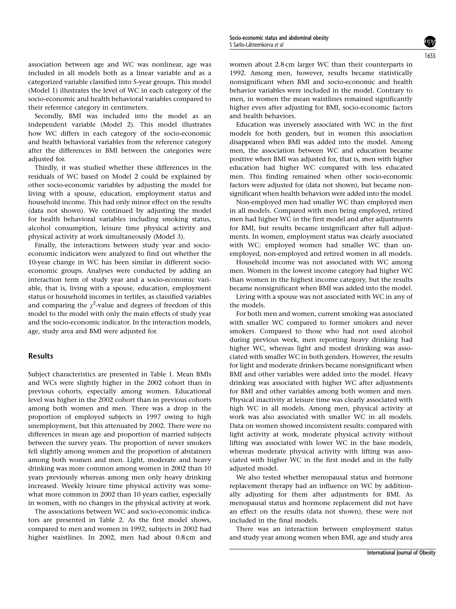association between age and WC was nonlinear, age was included in all models both as a linear variable and as a categorized variable classified into 5-year groups. This model (Model 1) illustrates the level of WC in each category of the socio-economic and health behavioral variables compared to their reference category in centimeters.

Secondly, BMI was included into the model as an independent variable (Model 2). This model illustrates how WC differs in each category of the socio-economic and health behavioral variables from the reference category after the differences in BMI between the categories were adjusted for.

Thirdly, it was studied whether these differences in the residuals of WC based on Model 2 could be explained by other socio-economic variables by adjusting the model for living with a spouse, education, employment status and household income. This had only minor effect on the results (data not shown). We continued by adjusting the model for health behavioral variables including smoking status, alcohol consumption, leisure time physical activity and physical activity at work simultaneously (Model 3).

Finally, the interactions between study year and socioeconomic indicators were analyzed to find out whether the 10-year change in WC has been similar in different socioeconomic groups. Analyses were conducted by adding an interaction term of study year and a socio-economic variable, that is, living with a spouse, education, employment status or household incomes in tertiles, as classified variables and comparing the  $\chi^2$ -value and degrees of freedom of this model to the model with only the main effects of study year and the socio-economic indicator. In the interaction models, age, study area and BMI were adjusted for.

### Results

Subject characteristics are presented in Table 1. Mean BMIs and WCs were slightly higher in the 2002 cohort than in previous cohorts, especially among women. Educational level was higher in the 2002 cohort than in previous cohorts among both women and men. There was a drop in the proportion of employed subjects in 1997 owing to high unemployment, but this attenuated by 2002. There were no differences in mean age and proportion of married subjects between the survey years. The proportion of never smokers fell slightly among women and the proportion of abstainers among both women and men. Light, moderate and heavy drinking was more common among women in 2002 than 10 years previously whereas among men only heavy drinking increased. Weekly leisure time physical activity was somewhat more common in 2002 than 10 years earlier, especially in women, with no changes in the physical activity at work.

The associations between WC and socio-economic indicators are presented in Table 2. As the first model shows, compared to men and women in 1992, subjects in 2002 had higher waistlines. In 2002, men had about 0.8 cm and women about 2.8 cm larger WC than their counterparts in 1992. Among men, however, results became statistically nonsignificant when BMI and socio-economic and health behavior variables were included in the model. Contrary to men, in women the mean waistlines remained significantly higher even after adjusting for BMI, socio-economic factors and health behaviors.

Education was inversely associated with WC in the first models for both genders, but in women this association disappeared when BMI was added into the model. Among men, the association between WC and education became positive when BMI was adjusted for, that is, men with higher education had higher WC compared with less educated men. This finding remained when other socio-economic factors were adjusted for (data not shown), but became nonsignificant when health behaviors were added into the model.

Non-employed men had smaller WC than employed men in all models. Compared with men being employed, retired men had higher WC in the first model and after adjustments for BMI, but results became insignificant after full adjustments. In women, employment status was clearly associated with WC: employed women had smaller WC than unemployed, non-employed and retired women in all models.

Household income was not associated with WC among men. Women in the lowest income category had higher WC than women in the highest income category, but the results became nonsignificant when BMI was added into the model.

Living with a spouse was not associated with WC in any of the models.

For both men and women, current smoking was associated with smaller WC compared to former smokers and never smokers. Compared to those who had not used alcohol during previous week, men reporting heavy drinking had higher WC, whereas light and modest drinking was associated with smaller WC in both genders. However, the results for light and moderate drinkers became nonsignificant when BMI and other variables were added into the model. Heavy drinking was associated with higher WC after adjustments for BMI and other variables among both women and men. Physical inactivity at leisure time was clearly associated with high WC in all models. Among men, physical activity at work was also associated with smaller WC in all models. Data on women showed inconsistent results: compared with light activity at work, moderate physical activity without lifting was associated with lower WC in the base models, whereas moderate physical activity with lifting was associated with higher WC in the first model and in the fully adjusted model.

We also tested whether menopausal status and hormone replacement therapy had an influence on WC by additionally adjusting for them after adjustments for BMI. As menopausal status and hormone replacement did not have an effect on the results (data not shown), these were not included in the final models.

There was an interaction between employment status and study year among women when BMI, age and study area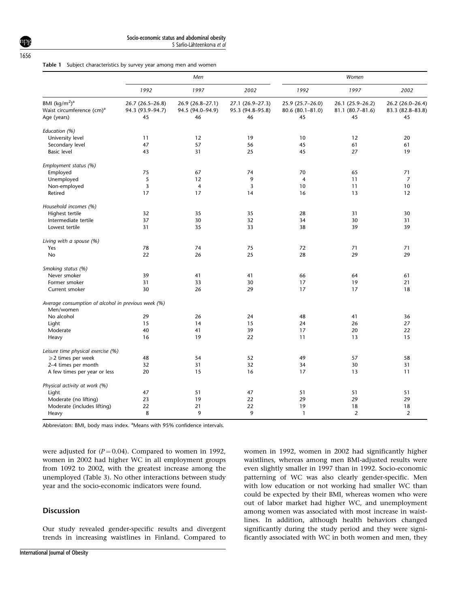|  |  | Table 1 Subject characteristics by survey year among men and women |  |  |  |  |  |  |  |
|--|--|--------------------------------------------------------------------|--|--|--|--|--|--|--|
|--|--|--------------------------------------------------------------------|--|--|--|--|--|--|--|

| BMI $(kq/m2)a$<br>Waist circumference (cm) <sup>a</sup><br>Age (years)<br>Education (%)<br>University level<br>Secondary level<br><b>Basic level</b><br>Employment status (%) | 1992<br>26.7 (26.5-26.8)<br>94.3 (93.9-94.7)<br>45<br>11<br>47<br>43 | 1997<br>26.9 (26.8-27.1)<br>94.5 (94.0-94.9)<br>46<br>12<br>57<br>31 | 2002<br>27.1 (26.9-27.3)<br>95.3 (94.8-95.8)<br>46<br>19<br>56 | 1992<br>25.9 (25.7-26.0)<br>80.6 (80.1-81.0)<br>45<br>10 | 1997<br>26.1 (25.9-26.2)<br>81.1 (80.7-81.6)<br>45 | 2002<br>45                           |
|-------------------------------------------------------------------------------------------------------------------------------------------------------------------------------|----------------------------------------------------------------------|----------------------------------------------------------------------|----------------------------------------------------------------|----------------------------------------------------------|----------------------------------------------------|--------------------------------------|
|                                                                                                                                                                               |                                                                      |                                                                      |                                                                |                                                          |                                                    | 26.2 (26.0-26.4)<br>83.3 (82.8-83.8) |
|                                                                                                                                                                               |                                                                      |                                                                      |                                                                |                                                          |                                                    |                                      |
|                                                                                                                                                                               |                                                                      |                                                                      |                                                                |                                                          |                                                    |                                      |
|                                                                                                                                                                               |                                                                      |                                                                      |                                                                |                                                          |                                                    |                                      |
|                                                                                                                                                                               |                                                                      |                                                                      |                                                                |                                                          |                                                    |                                      |
|                                                                                                                                                                               |                                                                      |                                                                      |                                                                |                                                          | 12                                                 | 20                                   |
|                                                                                                                                                                               |                                                                      |                                                                      |                                                                | 45                                                       | 61                                                 | 61                                   |
|                                                                                                                                                                               |                                                                      |                                                                      | 25                                                             | 45                                                       | 27                                                 | 19                                   |
|                                                                                                                                                                               |                                                                      |                                                                      |                                                                |                                                          |                                                    |                                      |
| Employed                                                                                                                                                                      | 75                                                                   | 67                                                                   | 74                                                             | 70                                                       | 65                                                 | 71                                   |
| Unemployed                                                                                                                                                                    | 5                                                                    | 12                                                                   | 9                                                              | $\overline{4}$                                           | 11                                                 | $\overline{7}$                       |
| Non-employed                                                                                                                                                                  | $\overline{3}$                                                       | $\overline{4}$                                                       | $\overline{3}$                                                 | 10                                                       | 11                                                 | 10                                   |
| Retired                                                                                                                                                                       | 17                                                                   | 17                                                                   | 14                                                             | 16                                                       | 13                                                 | 12                                   |
|                                                                                                                                                                               |                                                                      |                                                                      |                                                                |                                                          |                                                    |                                      |
| Household incomes (%)                                                                                                                                                         |                                                                      |                                                                      |                                                                |                                                          | 31                                                 | 30                                   |
| Highest tertile                                                                                                                                                               | 32<br>37                                                             | 35<br>30                                                             | 35<br>32                                                       | 28<br>34                                                 | 30                                                 | 31                                   |
| Intermediate tertile                                                                                                                                                          |                                                                      |                                                                      |                                                                |                                                          |                                                    |                                      |
| Lowest tertile                                                                                                                                                                | 31                                                                   | 35                                                                   | 33                                                             | 38                                                       | 39                                                 | 39                                   |
| Living with a spouse (%)                                                                                                                                                      |                                                                      |                                                                      |                                                                |                                                          |                                                    |                                      |
| Yes                                                                                                                                                                           | 78                                                                   | 74                                                                   | 75                                                             | 72                                                       | 71                                                 | 71                                   |
| <b>No</b>                                                                                                                                                                     | 22                                                                   | 26                                                                   | 25                                                             | 28                                                       | 29                                                 | 29                                   |
| Smoking status (%)                                                                                                                                                            |                                                                      |                                                                      |                                                                |                                                          |                                                    |                                      |
| Never smoker                                                                                                                                                                  | 39                                                                   | 41                                                                   | 41                                                             | 66                                                       | 64                                                 | 61                                   |
| Former smoker                                                                                                                                                                 | 31                                                                   | 33                                                                   | 30                                                             | 17                                                       | 19                                                 | 21                                   |
| Current smoker                                                                                                                                                                | 30                                                                   | 26                                                                   | 29                                                             | 17                                                       | 17                                                 | 18                                   |
| Average consumption of alcohol in previous week (%)                                                                                                                           |                                                                      |                                                                      |                                                                |                                                          |                                                    |                                      |
| Men/women                                                                                                                                                                     |                                                                      |                                                                      |                                                                |                                                          |                                                    |                                      |
| No alcohol                                                                                                                                                                    | 29                                                                   | 26                                                                   | 24                                                             | 48                                                       | 41                                                 | 36                                   |
| Light                                                                                                                                                                         | 15                                                                   | 14                                                                   | 15                                                             | 24                                                       | 26                                                 | 27                                   |
| Moderate                                                                                                                                                                      | 40                                                                   | 41                                                                   | 39                                                             | 17                                                       | 20                                                 | 22                                   |
| Heavy                                                                                                                                                                         | 16                                                                   | 19                                                                   | 22                                                             | 11                                                       | 13                                                 | 15                                   |
| Leisure time physical exercise (%)                                                                                                                                            |                                                                      |                                                                      |                                                                |                                                          |                                                    |                                      |
| $\geqslant$ 2 times per week                                                                                                                                                  | 48                                                                   | 54                                                                   | 52                                                             | 49                                                       | 57                                                 | 58                                   |
| 2-4 times per month                                                                                                                                                           | 32                                                                   | 31                                                                   | 32                                                             | 34                                                       | 30                                                 | 31                                   |
| A few times per year or less                                                                                                                                                  | 20                                                                   | 15                                                                   | 16                                                             | 17                                                       | 13                                                 | 11                                   |
| Physical activity at work (%)                                                                                                                                                 |                                                                      |                                                                      |                                                                |                                                          |                                                    |                                      |
| Light                                                                                                                                                                         | 47                                                                   | 51                                                                   | 47                                                             | 51                                                       | 51                                                 | 51                                   |
| Moderate (no lifting)                                                                                                                                                         | 23                                                                   | 19                                                                   | 22                                                             | 29                                                       | 29                                                 | 29                                   |
| Moderate (includes lifting)                                                                                                                                                   | 22                                                                   | 21                                                                   | 22                                                             | 19                                                       | 18                                                 | 18                                   |
| Heavy                                                                                                                                                                         | 8                                                                    | 9                                                                    | 9                                                              | $\mathbf{1}$                                             | $\overline{2}$                                     | $\overline{2}$                       |

Abbreviaton: BMI, body mass index. <sup>a</sup>Means with 95% confidence intervals.

were adjusted for  $(P = 0.04)$ . Compared to women in 1992, women in 2002 had higher WC in all employment groups from 1092 to 2002, with the greatest increase among the unemployed (Table 3). No other interactions between study year and the socio-economic indicators were found.

# **Discussion**

Our study revealed gender-specific results and divergent trends in increasing waistlines in Finland. Compared to women in 1992, women in 2002 had significantly higher waistlines, whereas among men BMI-adjusted results were even slightly smaller in 1997 than in 1992. Socio-economic patterning of WC was also clearly gender-specific. Men with low education or not working had smaller WC than could be expected by their BMI, whereas women who were out of labor market had higher WC, and unemployment among women was associated with most increase in waistlines. In addition, although health behaviors changed significantly during the study period and they were significantly associated with WC in both women and men, they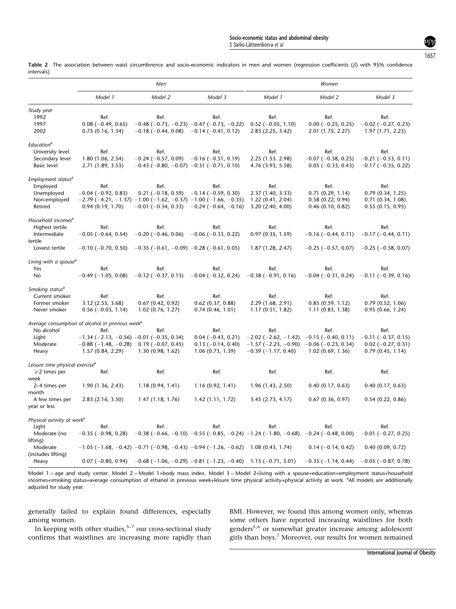Table 2 The association between waist circumference and socio-economic indicators in men and women (regression coefficients  $(\beta)$  with 95% confidence intervals)

|                                             |                                                              | Men                                                                                       |                           | Women                                                                                                               |                           |                           |  |
|---------------------------------------------|--------------------------------------------------------------|-------------------------------------------------------------------------------------------|---------------------------|---------------------------------------------------------------------------------------------------------------------|---------------------------|---------------------------|--|
|                                             | Model 1                                                      | Model 2                                                                                   | Model 3                   | Model 1                                                                                                             | Model 2                   | Model 3                   |  |
| Study year                                  |                                                              |                                                                                           |                           |                                                                                                                     |                           |                           |  |
| 1992                                        | Ref.                                                         | Ref.                                                                                      | Ref.                      | Ref.                                                                                                                | Ref.                      | Ref.                      |  |
| 1997                                        | $0.08$ (-0.49, 0.65)                                         | $-0.48$ ( $-0.73$ , $-0.23$ ) $-0.47$ ( $-0.73$ , $-0.22$ )                               |                           | $0.52$ (-0.05, 1.10)                                                                                                | $0.00 (-0.25, 0.25)$      | $-0.02$ ( $-0.27$ , 0.23) |  |
| 2002                                        | 0.75(0.16, 1.34)                                             | $-0.18$ (-0.44, 0.08) $-0.14$ (-0.41, 0.12)                                               |                           | 2.83 (2.25, 3.42)                                                                                                   | 2.01 (1.75, 2.27)         | 1.97 (1.71, 2.23)         |  |
| Education <sup>a</sup>                      |                                                              |                                                                                           |                           |                                                                                                                     |                           |                           |  |
| University level                            | Ref.                                                         | Ref.                                                                                      | Ref.                      | Ref.                                                                                                                | Ref.                      | Ref.                      |  |
| Secondary level                             | 1.80 (1.06, 2.54)                                            | $-0.24$ ( $-0.57$ , 0.09)                                                                 | $-0.16$ ( $-0.51$ , 0.19) | 2.25 (1.53. 2.98)                                                                                                   | $-0.07$ ( $-0.38$ , 0.25) | $-0.21$ ( $-0.53$ , 0.11) |  |
| <b>Basic level</b>                          | 2.71 (1.89, 3.53)                                            | $-0.43$ ( $-0.80$ , $-0.07$ ) $-0.31$ ( $-0.71$ , 0.10)                                   |                           | 4.76 (3.93, 5.58)                                                                                                   | $0.05$ (-0.33, 0.43)      | $-0.17$ ( $-0.55$ , 0.22) |  |
| Employment status <sup>a</sup>              |                                                              |                                                                                           |                           |                                                                                                                     |                           |                           |  |
| Employed                                    | Ref.                                                         | Ref.                                                                                      | Ref.                      | Ref.                                                                                                                | Ref.                      | Ref.                      |  |
| Unemployed                                  | $-0.04$ ( $-0.92$ , 0.83)                                    | $0.21$ (-0.18, 0.59) -0.14 (-0.59, 0.30)                                                  |                           | 2.37 (1.40, 3.33)                                                                                                   | 0.71(0.29, 1.14)          | 0.79(0.34, 1.25)          |  |
| Non-employed                                |                                                              | $-2.79$ ( $-4.21$ , $-1.37$ ) $-1.00$ ( $-1.62$ , $-0.37$ ) $-1.00$ ( $-1.66$ , $-0.35$ ) |                           | 1.22(0.41, 2.04)                                                                                                    | 0.58(0.22, 0.94)          | 0.71(0.34, 1.08)          |  |
| Retired                                     | 0.94(0.19, 1.70)                                             | $-0.01$ (-0.34, 0.33) $-0.24$ (-0.64, -0.16)                                              |                           | 3.20(2.40, 4.00)                                                                                                    | 0.46(0.10, 0.82)          | 0.55(0.15, 0.95)          |  |
| Household incomes <sup>a</sup>              |                                                              |                                                                                           |                           |                                                                                                                     |                           |                           |  |
| Highest tertile                             | Ref.                                                         | Ref.                                                                                      | Ref.                      | Ref.                                                                                                                | Ref.                      | Ref.                      |  |
| Intermediate                                | $-0.05$ ( $-0.64$ , 0.54)                                    | $-0.20$ ( $-0.46$ , 0.06)                                                                 | $-0.06$ ( $-0.33$ , 0.22) | 0.97(0.35, 1.59)                                                                                                    | $-0.16$ ( $-0.44$ , 0.11) | $-0.17$ ( $-0.44$ , 0.11) |  |
| tertile                                     |                                                              |                                                                                           |                           |                                                                                                                     |                           |                           |  |
| Lowest tertile                              | $-0.10$ ( $-0.70$ , 0.50)                                    | $-0.35$ ( $-0.61$ , $-0.09$ ) $-0.28$ ( $-0.61$ , 0.05)                                   |                           | 1.87 (1.28, 2.47)                                                                                                   | $-0.25$ ( $-0.57$ , 0.07) | $-0.25$ ( $-0.58$ , 0.07) |  |
| Living with a spouse <sup>a</sup>           |                                                              |                                                                                           |                           |                                                                                                                     |                           |                           |  |
| Yes                                         | Ref.                                                         | Ref.                                                                                      | Ref.                      | Ref.                                                                                                                | Ref.                      | Ref.                      |  |
| <b>No</b>                                   | $-0.49$ ( $-1.05$ , 0.08)                                    | $-0.12$ ( $-0.37$ , 0.13)                                                                 | $-0.04$ ( $-0.32$ , 0.24) | $-0.38$ ( $-0.91$ , 0.16)                                                                                           | $-0.04$ ( $-0.31$ , 0.24) | $-0.11$ ( $-0.39$ , 0.16) |  |
| Smoking status <sup>a</sup>                 |                                                              |                                                                                           |                           |                                                                                                                     |                           |                           |  |
| Current smoker                              | Ref.                                                         | Ref.                                                                                      | Ref.                      | Ref.                                                                                                                | Ref.                      | Ref.                      |  |
| Former smoker                               | 3.12 (2.55, 3.68)                                            | 0.67(0.42, 0.92)                                                                          | $0.62$ (0.37, 0.88)       | 2.29 (1.68, 2.91)                                                                                                   | 0.85(0.59, 1.12)          | 0.79(0.52, 1.06)          |  |
| Never smoker                                | $0.56$ (-0.03, 1.14)                                         | 1.02 (0.76, 1.27)                                                                         | 0.74(0.46, 1.01)          | 1.17 (0.51, 1.82)                                                                                                   | 1.11(0.83, 1.38)          | 0.95(0.66, 1.24)          |  |
|                                             | Average consumption of alcohol in previous week <sup>a</sup> |                                                                                           |                           |                                                                                                                     |                           |                           |  |
| No alcohol                                  | Ref.                                                         | Ref.                                                                                      | Ref.                      | Ref.                                                                                                                | Ref.                      | Ref.                      |  |
| Light                                       | $-1.34$ (-2.13, -0.56) -0.01 (-0.35, 0.34)                   |                                                                                           | $0.04$ (-0.43, 0.21)      | $-2.02$ (-2.62, -1.42) -0.15 (-0.40, 0.11)                                                                          |                           | $-0.11$ ( $-0.37$ , 0.15) |  |
| Moderate                                    | $-0.88$ ( $-1.48$ , $-0.28$ )                                | $0.19$ (-0.07, 0.45)                                                                      | $0.13$ (-0.14, 0.40)      | $-1.57$ (-2.23, -0.90) -0.06 (-0.23, 0.34)                                                                          |                           | $0.02$ (-0.27, 0.31)      |  |
| Heavy                                       | 1.57 (0.84, 2.29)                                            | 1.30(0.98, 1.62)                                                                          | 1.06(0.73, 1.39)          | $-0.39$ ( $-1.17$ , 0.40)                                                                                           | 1.02(0.69, 1.36)          | 0.79(0.45, 1.14)          |  |
| Leisure time physical exercise <sup>a</sup> |                                                              |                                                                                           |                           |                                                                                                                     |                           |                           |  |
| $\geqslant$ 2 times per                     | Ref.                                                         | Ref.                                                                                      | Ref.                      | Ref.                                                                                                                | Ref.                      | Ref.                      |  |
| week                                        |                                                              |                                                                                           |                           |                                                                                                                     |                           |                           |  |
| 2–4 times per                               | 1.90(1.36, 2.43)                                             | 1.18(0.94, 1.41)                                                                          | 1.16(0.92, 1.41)          | 1.96 (1.43, 2.50)                                                                                                   | 0.40(0.17, 0.63)          | 0.40(0.17, 0.63)          |  |
| month                                       |                                                              |                                                                                           |                           |                                                                                                                     |                           |                           |  |
| A few times per<br>year or less             | 2.83 (2.16, 3.50)                                            | 1.47(1.18, 1.76)                                                                          | 1.42 (1.11, 1.72)         | 3.45 (2.73, 4.17)                                                                                                   | 0.67(0.36, 0.97)          | 0.54(0.22, 0.86)          |  |
|                                             |                                                              |                                                                                           |                           |                                                                                                                     |                           |                           |  |
| Physical activity at work <sup>a</sup>      |                                                              |                                                                                           |                           |                                                                                                                     |                           |                           |  |
| Light                                       | Ref.                                                         | Ref.                                                                                      | Ref.                      | Ref.                                                                                                                | Ref.                      | Ref.                      |  |
| Moderate (no                                | $-0.35$ ( $-0.98$ , 0.28)                                    |                                                                                           |                           | $-0.38$ ( $-0.66$ , $-0.10$ ) $-0.55$ ( $-0.85$ , $-0.24$ ) $-1.24$ ( $-1.80$ , $-0.68$ ) $-0.24$ ( $-0.48$ , 0.00) |                           | $-0.01$ ( $-0.27$ , 0.25) |  |
| lifting)                                    |                                                              |                                                                                           |                           |                                                                                                                     |                           |                           |  |
| Moderate<br>(includes lifting)              |                                                              | $-1.05$ (-1.68, -0.42) -0.71 (-0.98, -0.43) -0.94 (-1.26, -0.62)                          |                           | 1.08(0.43, 1.74)                                                                                                    | $0.14(-0.14, 0.42)$       | 0.40(0.09, 0.72)          |  |
| Heavy                                       | $0.07(-0.80, 0.94)$                                          | $-0.68$ (-1.06, -0.29) -0.81 (-1.23, -0.40)                                               |                           | $1.15(-0.71, 3.01)$                                                                                                 | $-0.35$ ( $-1.14$ , 0.44) | $-0.05$ ( $-0.87$ , 0.78) |  |

Model 1 = age and study center. Model 2 = Model 1+body mass index. Model 3 = Model 2+living with a spouse+education+employment status+household incomes+smoking status+average consumption of ethanol in previous week+leisure time physical activity+physical activity at work. <sup>a</sup>All models are additionally adjusted for study year.

generally failed to explain found differences, especially among women.

BMI. However, we found this among women only, whereas some others have reported increasing waistlines for both genders<sup>5,6</sup> or somewhat greater increase among adolescent girls than boys.<sup>7</sup> Moreover, our results for women remained

In keeping with other studies,  $5-7$  our cross-sectional study confirms that waistlines are increasing more rapidly than

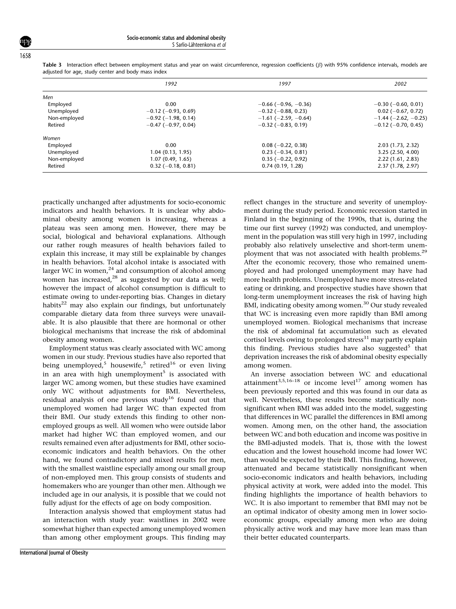|              | 1992                      | 1997                          | 2002                          |  |
|--------------|---------------------------|-------------------------------|-------------------------------|--|
| Men          |                           |                               |                               |  |
| Employed     | 0.00                      | $-0.66$ ( $-0.96$ , $-0.36$ ) | $-0.30$ ( $-0.60$ , 0.01)     |  |
| Unemployed   | $-0.12$ ( $-0.93$ , 0.69) | $-0.32$ ( $-0.88$ , 0.23)     | $0.02$ (-0.67, 0.72)          |  |
| Non-employed | $-0.92$ ( $-1.98$ , 0.14) | $-1.61$ ( $-2.59$ , $-0.64$ ) | $-1.44$ ( $-2.62$ , $-0.25$ ) |  |
| Retired      | $-0.47$ ( $-0.97$ , 0.04) | $-0.32$ ( $-0.83$ , 0.19)     | $-0.12$ ( $-0.70$ , 0.45)     |  |
| Women        |                           |                               |                               |  |
| Employed     | 0.00                      | $0.08$ (-0.22, 0.38)          | 2.03 (1.73, 2.32)             |  |
| Unemployed   | 1.04(0.13, 1.95)          | $0.23 (-0.34, 0.81)$          | 3.25(2.50, 4.00)              |  |
| Non-employed | 1.07(0.49, 1.65)          | $0.35(-0.22, 0.92)$           | 2.22(1.61, 2.83)              |  |
| Retired      | $0.32(-0.18, 0.81)$       | 0.74(0.19, 1.28)              | 2.37(1.78, 2.97)              |  |

Table 3 Interaction effect between employment status and year on waist circumference, regression coefficients ( $\beta$ ) with 95% confidence intervals, models are adjusted for age, study center and body mass index

practically unchanged after adjustments for socio-economic indicators and health behaviors. It is unclear why abdominal obesity among women is increasing, whereas a plateau was seen among men. However, there may be social, biological and behavioral explanations. Although our rather rough measures of health behaviors failed to explain this increase, it may still be explainable by changes in health behaviors. Total alcohol intake is associated with larger WC in women, $24$  and consumption of alcohol among women has increased,<sup>28</sup> as suggested by our data as well; however the impact of alcohol consumption is difficult to estimate owing to under-reporting bias. Changes in dietary habits $^{22}$  may also explain our findings, but unfortunately comparable dietary data from three surveys were unavailable. It is also plausible that there are hormonal or other biological mechanisms that increase the risk of abdominal obesity among women.

Employment status was clearly associated with WC among women in our study. Previous studies have also reported that being unemployed,<sup>5</sup> housewife,<sup>5</sup> retired<sup>16</sup> or even living in an area with high unemployment<sup>5</sup> is associated with larger WC among women, but these studies have examined only WC without adjustments for BMI. Nevertheless, residual analysis of one previous study<sup>16</sup> found out that unemployed women had larger WC than expected from their BMI. Our study extends this finding to other nonemployed groups as well. All women who were outside labor market had higher WC than employed women, and our results remained even after adjustments for BMI, other socioeconomic indicators and health behaviors. On the other hand, we found contradictory and mixed results for men, with the smallest waistline especially among our small group of non-employed men. This group consists of students and homemakers who are younger than other men. Although we included age in our analysis, it is possible that we could not fully adjust for the effects of age on body composition.

Interaction analysis showed that employment status had an interaction with study year: waistlines in 2002 were somewhat higher than expected among unemployed women than among other employment groups. This finding may

reflect changes in the structure and severity of unemployment during the study period. Economic recession started in Finland in the beginning of the 1990s, that is, during the time our first survey (1992) was conducted, and unemployment in the population was still very high in 1997, including probably also relatively unselective and short-term unemployment that was not associated with health problems.<sup>29</sup> After the economic recovery, those who remained unemployed and had prolonged unemployment may have had more health problems. Unemployed have more stress-related eating or drinking, and prospective studies have shown that long-term unemployment increases the risk of having high BMI, indicating obesity among women.<sup>30</sup> Our study revealed that WC is increasing even more rapidly than BMI among unemployed women. Biological mechanisms that increase the risk of abdominal fat accumulation such as elevated cortisol levels owing to prolonged stress $31$  may partly explain this finding. Previous studies have also suggested<sup>5</sup> that deprivation increases the risk of abdominal obesity especially among women.

An inverse association between WC and educational attainment<sup>3,5,16–18</sup> or income level<sup>17</sup> among women has been previously reported and this was found in our data as well. Nevertheless, these results become statistically nonsignificant when BMI was added into the model, suggesting that differences in WC parallel the differences in BMI among women. Among men, on the other hand, the association between WC and both education and income was positive in the BMI-adjusted models. That is, those with the lowest education and the lowest household income had lower WC than would be expected by their BMI. This finding, however, attenuated and became statistically nonsignificant when socio-economic indicators and health behaviors, including physical activity at work, were added into the model. This finding highlights the importance of health behaviors to WC. It is also important to remember that BMI may not be an optimal indicator of obesity among men in lower socioeconomic groups, especially among men who are doing physically active work and may have more lean mass than their better educated counterparts.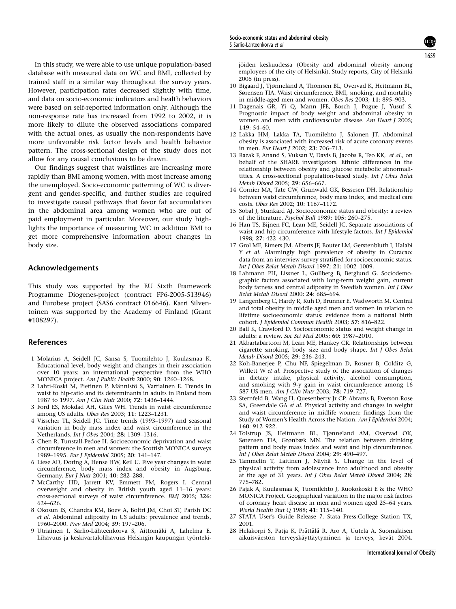In this study, we were able to use unique population-based database with measured data on WC and BMI, collected by trained staff in a similar way throughout the survey years. However, participation rates decreased slightly with time, and data on socio-economic indicators and health behaviors were based on self-reported information only. Although the non-response rate has increased from 1992 to 2002, it is more likely to dilute the observed associations compared with the actual ones, as usually the non-respondents have more unfavorable risk factor levels and health behavior pattern. The cross-sectional design of the study does not allow for any causal conclusions to be drawn.

Our findings suggest that waistlines are increasing more rapidly than BMI among women, with most increase among the unemployed. Socio-economic patterning of WC is divergent and gender-specific, and further studies are required to investigate causal pathways that favor fat accumulation in the abdominal area among women who are out of paid employment in particular. Moreover, our study highlights the importance of measuring WC in addition BMI to get more comprehensive information about changes in body size.

## Acknowledgements

This study was supported by the EU Sixth Framework Programme Diogenes-project (contract FP6-2005-513946) and Eurobese project (SAS6 contract 016646). Karri Silventoinen was supported by the Academy of Finland (Grant #108297).

#### References

- 1 Molarius A, Seidell JC, Sansa S, Tuomilehto J, Kuulasmaa K. Educational level, body weight and changes in their association over 10 years: an international perspective from the WHO MONICA project. Am J Public Health 2000; 90: 1260–1268.
- 2 Lahti-Koski M, Pietinen P, Männistö S, Vartiainen E, Trends in waist to hip-ratio and its determinants in adults in Finland from 1987 to 1997. Am J Clin Nutr 2000; 72: 1436–1444.
- 3 Ford ES, Mokdad AH, Giles WH. Trends in waist circumference among US adults. Obes Res 2003; 11: 1223–1231.
- 4 Visscher TL, Seidell JC. Time trends (1993–1997) and seasonal variation in body mass index and waist circumference in the Netherlands. Int J Obes 2004; 28: 1309–1316.
- 5 Chen R, Tunstall-Pedoe H. Socioeconomic deprivation and waist circumference in men and women: the Scottish MONICA surveys 1989–1995. Eur J Epidemiol 2005; 20: 141–147.
- 6 Liese AD, Doring A, Hense HW, Keil U. Five year changes in waist circumference, body mass index and obesity in Augsburg, Germany. Eur J Nutr 2001; 40: 282–288.
- 7 McCarthy HD, Jarrett KV, Emmett PM, Rogers I. Central overweight and obesity in British youth aged 11–16 years: cross-sectional surveys of waist circumference. BMJ 2005; 326: 624–626.
- 8 Okosun IS, Chandra KM, Boev A, Boltri JM, Choi ST, Parish DC et al. Abdominal adiposity in US adults: prevalence and trends, 1960–2000. Prev Med 2004; 39: 197–206.
- 9 Utriainen I, Sarlio-Lähteenkorva S, Aittomäki A, Lahelma E. Lihavuus ja keskivartalolihavuus Helsingin kaupungin työnteki-

jöiden keskuudessa (Obesity and abdominal obesity among employees of the city of Helsinki). Study reports, City of Helsinki 2006 (in press).

- 10 Bigaard J, Tjønneland A, Thomsen BL, Overvad K, Heitmann BL, Sørensen TIA. Waist circumference, BMI, smoking, and mortality in middle-aged men and women. Obes Res 2003; 11: 895–903.
- 11 Dagenais GR, Yi Q, Mann JFE, Bosch J, Pogue J, Yusuf S. Prognostic impact of body weight and abdominal obesity in women and men with cardiovascular disease. Am Heart J 2005; 149: 54–60.
- 12 Lakka HM, Lakka TA, Tuomilehto J, Salonen JT. Abdominal obesity is associated with increased risk of acute coronary events in men. Eur Heart J 2002; 23: 706–713.
- 13 Razak F, Anand S, Vuksan V, Davis B, Jacobs R, Teo KK, et al., on behalf of the SHARE investigators. Ethnic differences in the relationship between obesity and glucose metabolic abnormalitities. A cross-sectional population-based study. Int J Obes Relat Metab Disord 2005; 29: 656–667.
- 14 Cornier MA, Tate CW, Grunwald GK, Bessesen DH. Relationship between waist circumference, body mass index, and medical care costs. Obes Res 2002; 10: 1167–1172.
- 15 Sobal J, Stunkard AJ. Socioeconomic status and obesity: a review of the literature. Psychol Bull 1989; 105: 260–275.
- 16 Han TS, Bijnen FC, Lean ME, Seidell JC. Separate associations of waist and hip circumference with lifestyle factors. Int J Epidemiol 1998; 27: 422–430.
- 17 Grol ME, Eimers JM, Alberts JF, Bouter LM, Gerstenbluth I, Halabi Y et al. Alarmingly high prevalence of obesity in Curacao: data from an interview survey stratified for socioeconomic status. Int J Obes Relat Metab Disord 1997; 21: 1002–1009.
- 18 Lahmann PH, Lissner L, Gullberg B, Berglund G. Sociodemographic factors associated with long-term weight gain, current body fatness and central adiposity in Swedish women. Int J Obes Relat Metab Disord 2000; 24: 685–694.
- 19 Langenberg C, Hardy R, Kuh D, Brunner E, Wadsworth M. Central and total obesity in middle aged men and women in relation to lifetime socioeconomic status: evidence from a national birth cohort. J Epidemiol Commun Health 2003; 57: 816–822.
- 20 Ball K, Crawford D. Socioeconomic status and weight change in adults: a review. Soc Sci Med 2005; 60: 1987–2010.
- 21 Akbartabartoori M, Lean ME, Hankey CR. Relationships between cigarette smoking, body size and body shape. Int  $\overline{J}$  Obes Relat Metab Disord 2005; 29: 236–243.
- 22 Koh-Banerjee P, Chu NF, Spiegelman D, Rosner B, Colditz G, Willett W et al. Prospective study of the association of changes in dietary intake, physical activity, alcohol consumption, and smoking with 9-y gain in waist circumference among 16 587 US men. Am J Clin Nutr 2003; 78: 719–727.
- 23 Sternfeld B, Wang H, Quesenberry Jr CP, Abrams B, Everson-Rose SA, Greendale GA et al. Physical activity and changes in weight and waist circumference in midlife women: findings from the Study of Women's Health Across the Nation. Am J Epidemiol 2004; 160: 912–922.
- 24 Tolstrup JS, Heitmann BL, Tjønneland AM, Overvad OK, Sørensen TIA, Grønbæk MN. The relation between drinking pattern and body mass index and waist and hip circumference. Int J Obes Relat Metab Disord 2004; 29: 490–497.
- 25 Tammelin T, Laitinen J, Näyhä S. Change in the level of physical activity from adolescence into adulthood and obesity at the age of 31 years. Int J Obes Relat Metab Disord 2004; 28: 775–782.
- 26 Pajak A, Kuulasmaa K, Tuomilehto J, Ruokokoski E & the WHO MONICA Project. Geographical variation in the major risk factors of coronary heart disease in men and women aged 25–64 years. World Health Stat Q 1988; 41: 115–140.
- 27 STATA User's Guide Release 7. Stata Press:College Station TX, 2001.
- 28 Helakorpi S, Patja K, Prättälä R, Aro A, Uutela A. Suomalaisen aikuisväestön terveyskäyttäytyminen ja terveys, kevät 2004.